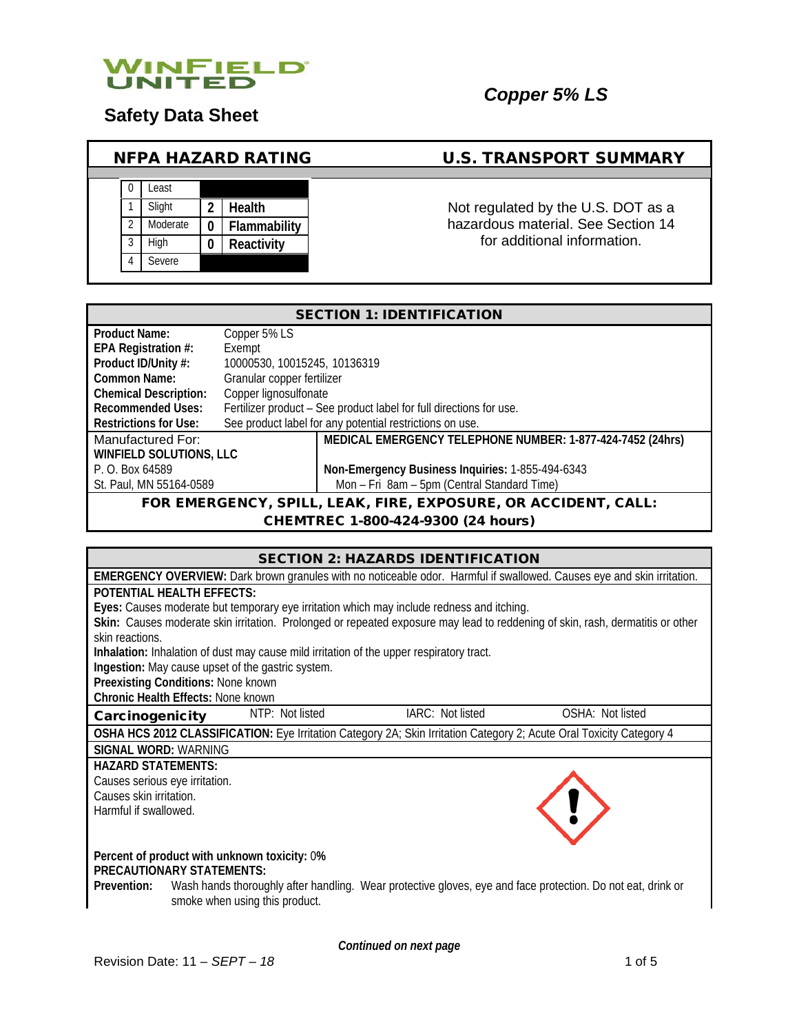

# **Safety Data Sheet**

# NFPA HAZARD RATING U.S. TRANSPORT SUMMARY

| 0              | Least    |   |              |
|----------------|----------|---|--------------|
|                | Slight   | 2 | Health       |
| $\mathfrak{D}$ | Moderate | 0 | Flammability |
| 3              | High     | 0 | Reactivity   |
|                | Severe   |   |              |

Not regulated by the U.S. DOT as a hazardous material. See Section 14 for additional information.

| <b>SECTION 1: IDENTIFICATION</b> |                                                                |                                                                     |  |
|----------------------------------|----------------------------------------------------------------|---------------------------------------------------------------------|--|
| <b>Product Name:</b>             | Copper 5% LS                                                   |                                                                     |  |
| EPA Registration #:              | Exempt                                                         |                                                                     |  |
| Product ID/Unity #:              | 10000530, 10015245, 10136319                                   |                                                                     |  |
| Common Name:                     | Granular copper fertilizer                                     |                                                                     |  |
| <b>Chemical Description:</b>     | Copper lignosulfonate                                          |                                                                     |  |
| <b>Recommended Uses:</b>         |                                                                | Fertilizer product - See product label for full directions for use. |  |
| <b>Restrictions for Use:</b>     |                                                                | See product label for any potential restrictions on use.            |  |
| Manufactured For:                |                                                                | MEDICAL EMERGENCY TELEPHONE NUMBER: 1-877-424-7452 (24hrs)          |  |
| <b>WINFIELD SOLUTIONS, LLC</b>   |                                                                |                                                                     |  |
| P. O. Box 64589                  |                                                                | Non-Emergency Business Inquiries: 1-855-494-6343                    |  |
| St. Paul, MN 55164-0589          |                                                                | Mon - Fri 8am - 5pm (Central Standard Time)                         |  |
|                                  | FOR EMERGENCY, SPILL, LEAK, FIRE, EXPOSURE, OR ACCIDENT, CALL: |                                                                     |  |

#### CHEMTREC 1-800-424-9300 (24 hours)

|                                |                                           |                                                                                | <b>SECTION 2: HAZARDS IDENTIFICATION</b>                                                                                       |                  |
|--------------------------------|-------------------------------------------|--------------------------------------------------------------------------------|--------------------------------------------------------------------------------------------------------------------------------|------------------|
|                                |                                           |                                                                                | <b>EMERGENCY OVERVIEW:</b> Dark brown granules with no noticeable odor. Harmful if swallowed. Causes eye and skin irritation.  |                  |
|                                | <b>POTENTIAL HEALTH EFFECTS:</b>          |                                                                                |                                                                                                                                |                  |
|                                |                                           |                                                                                | Eyes: Causes moderate but temporary eye irritation which may include redness and itching.                                      |                  |
|                                |                                           |                                                                                | Skin: Causes moderate skin irritation. Prolonged or repeated exposure may lead to reddening of skin, rash, dermatitis or other |                  |
| skin reactions.                |                                           |                                                                                |                                                                                                                                |                  |
|                                |                                           |                                                                                | Inhalation: Inhalation of dust may cause mild irritation of the upper respiratory tract.                                       |                  |
|                                | Preexisting Conditions: None known        | Ingestion: May cause upset of the gastric system.                              |                                                                                                                                |                  |
|                                | <b>Chronic Health Effects: None known</b> |                                                                                |                                                                                                                                |                  |
| Carcinogenicity                |                                           | NTP: Not listed                                                                | IARC: Not listed                                                                                                               | OSHA: Not listed |
|                                |                                           |                                                                                | OSHA HCS 2012 CLASSIFICATION: Eye Irritation Category 2A; Skin Irritation Category 2; Acute Oral Toxicity Category 4           |                  |
| <b>SIGNAL WORD: WARNING</b>    |                                           |                                                                                |                                                                                                                                |                  |
| <b>HAZARD STATEMENTS:</b>      |                                           |                                                                                |                                                                                                                                |                  |
| Causes serious eye irritation. |                                           |                                                                                |                                                                                                                                |                  |
| Causes skin irritation.        |                                           |                                                                                |                                                                                                                                |                  |
| Harmful if swallowed.          |                                           |                                                                                |                                                                                                                                |                  |
|                                |                                           |                                                                                |                                                                                                                                |                  |
| Prevention:                    | <b>PRECAUTIONARY STATEMENTS:</b>          | Percent of product with unknown toxicity: 0%<br>smoke when using this product. | Wash hands thoroughly after handling. Wear protective gloves, eye and face protection. Do not eat, drink or                    |                  |

*Continued on next page*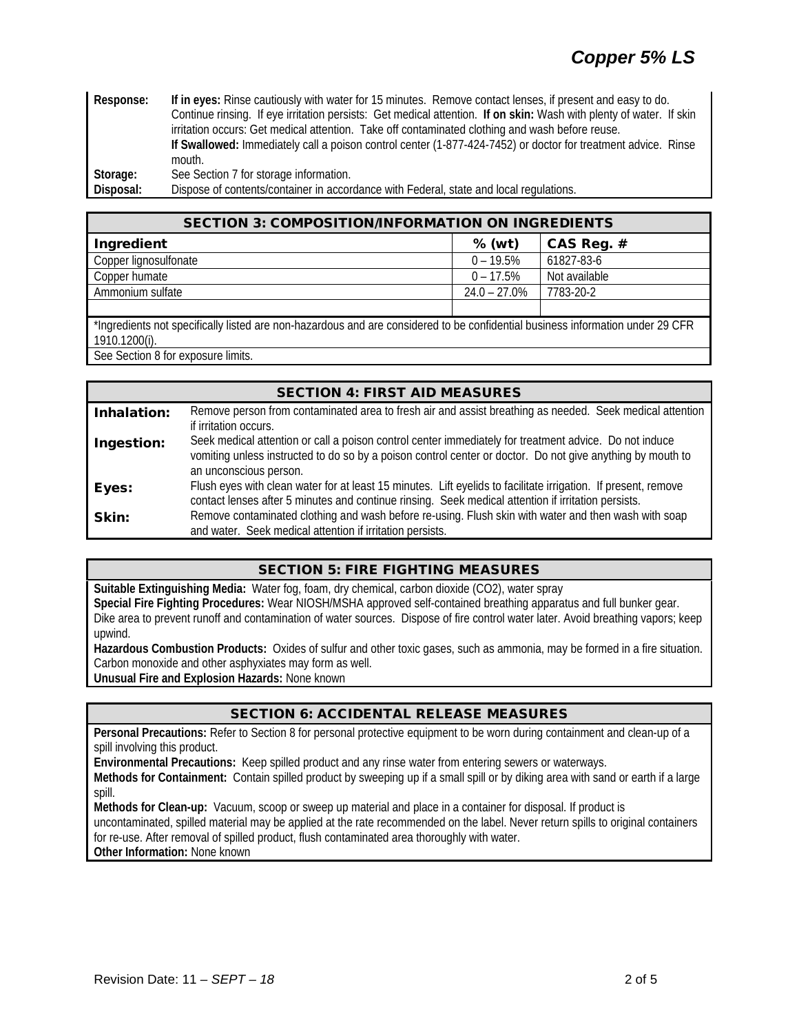| Response: | If in eyes: Rinse cautiously with water for 15 minutes. Remove contact lenses, if present and easy to do.           |  |  |
|-----------|---------------------------------------------------------------------------------------------------------------------|--|--|
|           | Continue rinsing. If eye irritation persists: Get medical attention. If on skin: Wash with plenty of water. If skin |  |  |
|           | irritation occurs: Get medical attention. Take off contaminated clothing and wash before reuse.                     |  |  |
|           | If Swallowed: Immediately call a poison control center (1-877-424-7452) or doctor for treatment advice. Rinse       |  |  |
|           | mouth.                                                                                                              |  |  |
| Storage:  | See Section 7 for storage information.                                                                              |  |  |
| Disposal: | Dispose of contents/container in accordance with Federal, state and local regulations.                              |  |  |

| <b>SECTION 3: COMPOSITION/INFORMATION ON INGREDIENTS</b>                                                                                        |                 |               |  |
|-------------------------------------------------------------------------------------------------------------------------------------------------|-----------------|---------------|--|
| Ingredient                                                                                                                                      | $%$ (wt)        | CAS Reg. #    |  |
| Copper lignosulfonate                                                                                                                           | $0 - 19.5%$     | 61827-83-6    |  |
| Copper humate                                                                                                                                   | $0 - 17.5%$     | Not available |  |
| Ammonium sulfate                                                                                                                                | $24.0 - 27.0\%$ | 7783-20-2     |  |
|                                                                                                                                                 |                 |               |  |
| *Ingredients not specifically listed are non-hazardous and are considered to be confidential business information under 29 CFR<br>1910.1200(i). |                 |               |  |
| $\sim$ $\sim$ $\sim$                                                                                                                            |                 |               |  |

See Section 8 for exposure limits.

|             | <b>SECTION 4: FIRST AID MEASURES</b>                                                                                                                                                                                                            |
|-------------|-------------------------------------------------------------------------------------------------------------------------------------------------------------------------------------------------------------------------------------------------|
| Inhalation: | Remove person from contaminated area to fresh air and assist breathing as needed. Seek medical attention                                                                                                                                        |
| Ingestion:  | if irritation occurs.<br>Seek medical attention or call a poison control center immediately for treatment advice. Do not induce<br>vomiting unless instructed to do so by a poison control center or doctor. Do not give anything by mouth to   |
| Eyes:       | an unconscious person.<br>Flush eyes with clean water for at least 15 minutes. Lift eyelids to facilitate irrigation. If present, remove<br>contact lenses after 5 minutes and continue rinsing. Seek medical attention if irritation persists. |
| Skin:       | Remove contaminated clothing and wash before re-using. Flush skin with water and then wash with soap<br>and water. Seek medical attention if irritation persists.                                                                               |

## SECTION 5: FIRE FIGHTING MEASURES

**Suitable Extinguishing Media:** Water fog, foam, dry chemical, carbon dioxide (CO2), water spray **Special Fire Fighting Procedures:** Wear NIOSH/MSHA approved self-contained breathing apparatus and full bunker gear. Dike area to prevent runoff and contamination of water sources. Dispose of fire control water later. Avoid breathing vapors; keep upwind.

**Hazardous Combustion Products:** Oxides of sulfur and other toxic gases, such as ammonia, may be formed in a fire situation. Carbon monoxide and other asphyxiates may form as well. **Unusual Fire and Explosion Hazards:** None known

## SECTION 6: ACCIDENTAL RELEASE MEASURES

**Personal Precautions:** Refer to Section 8 for personal protective equipment to be worn during containment and clean-up of a spill involving this product.

**Environmental Precautions:** Keep spilled product and any rinse water from entering sewers or waterways.

**Methods for Containment:** Contain spilled product by sweeping up if a small spill or by diking area with sand or earth if a large spill.

**Methods for Clean-up:** Vacuum, scoop or sweep up material and place in a container for disposal. If product is

uncontaminated, spilled material may be applied at the rate recommended on the label. Never return spills to original containers for re-use. After removal of spilled product, flush contaminated area thoroughly with water.

**Other Information:** None known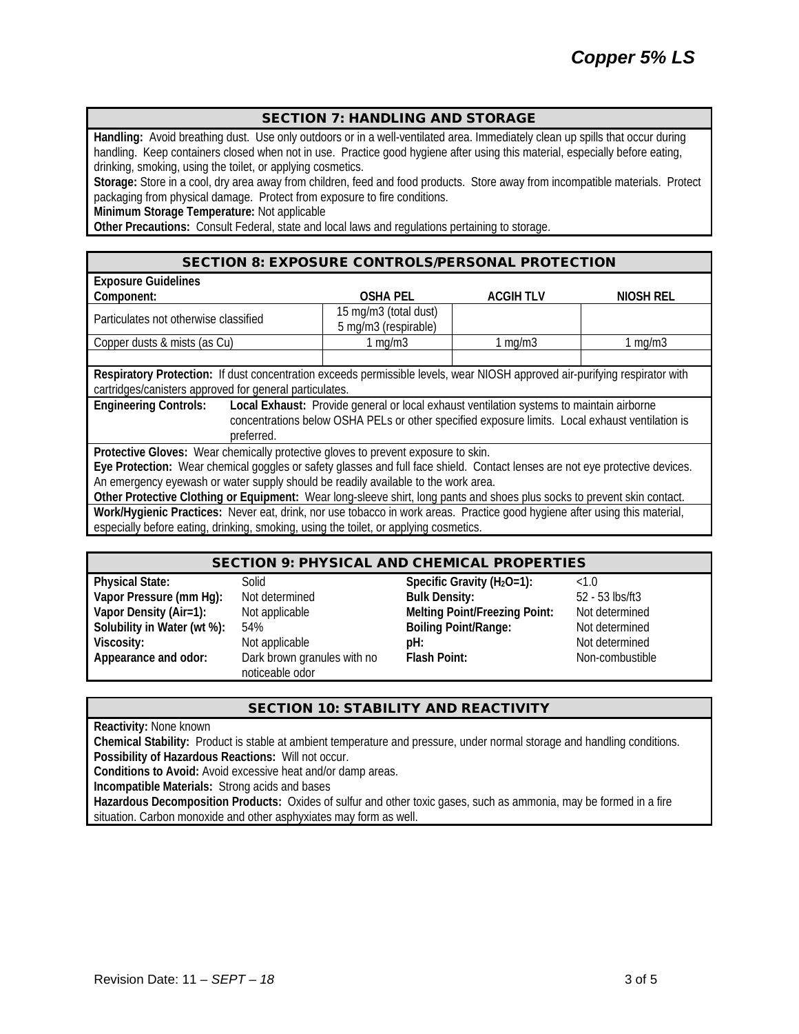### SECTION 7: HANDLING AND STORAGE

**Handling:** Avoid breathing dust. Use only outdoors or in a well-ventilated area. Immediately clean up spills that occur during handling. Keep containers closed when not in use. Practice good hygiene after using this material, especially before eating, drinking, smoking, using the toilet, or applying cosmetics.

**Storage:** Store in a cool, dry area away from children, feed and food products. Store away from incompatible materials. Protect packaging from physical damage. Protect from exposure to fire conditions.

**Minimum Storage Temperature:** Not applicable

**Other Precautions:** Consult Federal, state and local laws and regulations pertaining to storage.

#### SECTION 8: EXPOSURE CONTROLS/PERSONAL PROTECTION

| <b>Exposure Guidelines</b>                                                                                                                                                                                                                |                                               |                 |           |  |
|-------------------------------------------------------------------------------------------------------------------------------------------------------------------------------------------------------------------------------------------|-----------------------------------------------|-----------------|-----------|--|
| Component:                                                                                                                                                                                                                                | <b>OSHA PEL</b>                               | <b>ACGIHTLV</b> | NIOSH REL |  |
| Particulates not otherwise classified                                                                                                                                                                                                     | 15 mg/m3 (total dust)<br>5 mg/m3 (respirable) |                 |           |  |
| Copper dusts & mists (as Cu)                                                                                                                                                                                                              | 1 mg/m $3$                                    | 1 $mq/m3$       | 1 $mq/m3$ |  |
|                                                                                                                                                                                                                                           |                                               |                 |           |  |
| Respiratory Protection: If dust concentration exceeds permissible levels, wear NIOSH approved air-purifying respirator with<br>cartridges/canisters approved for general particulates.                                                    |                                               |                 |           |  |
| <b>Engineering Controls:</b><br>Local Exhaust: Provide general or local exhaust ventilation systems to maintain airborne<br>concentrations below OSHA PELs or other specified exposure limits. Local exhaust ventilation is<br>preferred. |                                               |                 |           |  |
| Protective Gloves: Wear chemically protective gloves to prevent exposure to skin.                                                                                                                                                         |                                               |                 |           |  |
| Eye Protection: Wear chemical goggles or safety glasses and full face shield. Contact lenses are not eye protective devices.                                                                                                              |                                               |                 |           |  |
| An emergency eyewash or water supply should be readily available to the work area.                                                                                                                                                        |                                               |                 |           |  |
| Other Protective Clothing or Equipment: Wear long-sleeve shirt, long pants and shoes plus socks to prevent skin contact.                                                                                                                  |                                               |                 |           |  |
| Work/Hygienic Practices: Never eat, drink, nor use tobacco in work areas. Practice good hygiene after using this material,                                                                                                                |                                               |                 |           |  |

especially before eating, drinking, smoking, using the toilet, or applying cosmetics.

#### SECTION 9: PHYSICAL AND CHEMICAL PROPERTIES

| <b>Physical State:</b>      | Solid                       | Specific Gravity (H <sub>2</sub> O=1): | <1.0            |
|-----------------------------|-----------------------------|----------------------------------------|-----------------|
| Vapor Pressure (mm Hg):     | Not determined              | <b>Bulk Density:</b>                   | 52 - 53 lbs/ft3 |
| Vapor Density (Air=1):      | Not applicable              | <b>Melting Point/Freezing Point:</b>   | Not determined  |
| Solubility in Water (wt %): | 54%                         | <b>Boiling Point/Range:</b>            | Not determined  |
| Viscosity:                  | Not applicable              | pH:                                    | Not determined  |
| Appearance and odor:        | Dark brown granules with no | Flash Point:                           | Non-combustible |
|                             | noticeable odor             |                                        |                 |

## SECTION 10: STABILITY AND REACTIVITY

**Reactivity:** None known

**Chemical Stability:** Product is stable at ambient temperature and pressure, under normal storage and handling conditions. **Possibility of Hazardous Reactions:** Will not occur.

**Conditions to Avoid:** Avoid excessive heat and/or damp areas.

**Incompatible Materials:** Strong acids and bases

**Hazardous Decomposition Products:** Oxides of sulfur and other toxic gases, such as ammonia, may be formed in a fire situation. Carbon monoxide and other asphyxiates may form as well.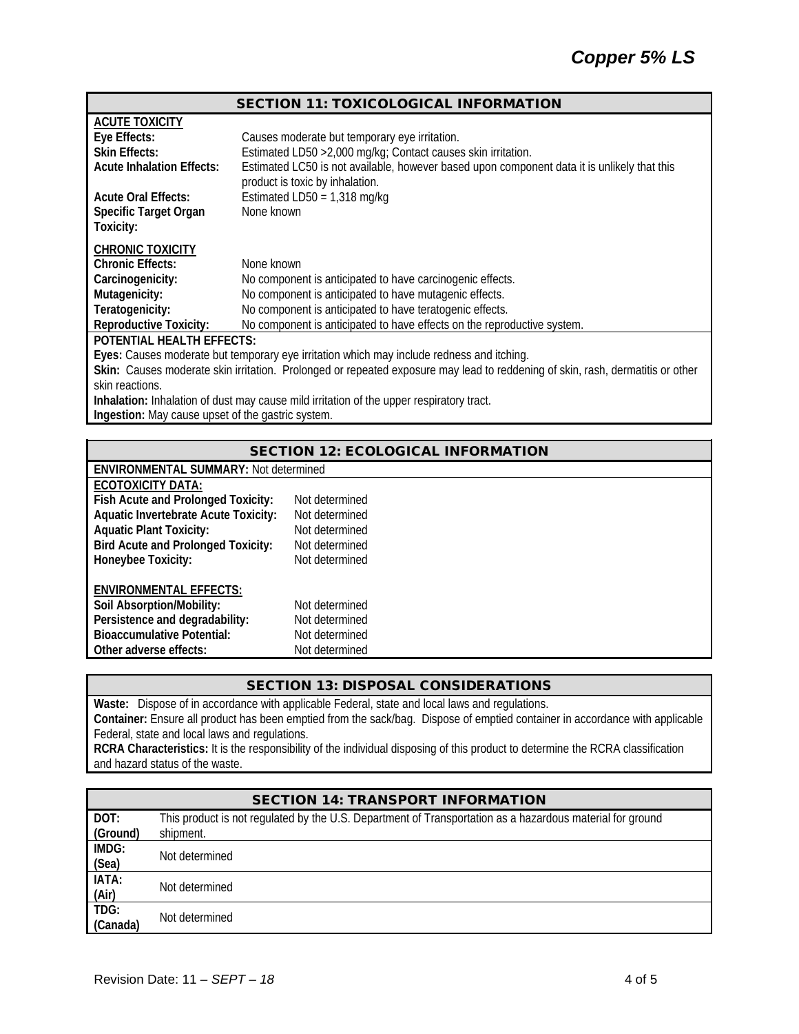#### SECTION 11: TOXICOLOGICAL INFORMATION

| <b>ACUTE TOXICITY</b>                                                                                                          |                                                                                                                                |  |  |
|--------------------------------------------------------------------------------------------------------------------------------|--------------------------------------------------------------------------------------------------------------------------------|--|--|
| Eye Effects:                                                                                                                   | Causes moderate but temporary eye irritation.                                                                                  |  |  |
| <b>Skin Effects:</b>                                                                                                           | Estimated LD50 > 2,000 mg/kg; Contact causes skin irritation.                                                                  |  |  |
| <b>Acute Inhalation Effects:</b>                                                                                               | Estimated LC50 is not available, however based upon component data it is unlikely that this<br>product is toxic by inhalation. |  |  |
| <b>Acute Oral Effects:</b>                                                                                                     | Estimated LD50 = $1,318$ mg/kg                                                                                                 |  |  |
| Specific Target Organ                                                                                                          | None known                                                                                                                     |  |  |
| Toxicity:                                                                                                                      |                                                                                                                                |  |  |
| <b>CHRONIC TOXICITY</b>                                                                                                        |                                                                                                                                |  |  |
| <b>Chronic Effects:</b>                                                                                                        | None known                                                                                                                     |  |  |
| Carcinogenicity:                                                                                                               | No component is anticipated to have carcinogenic effects.                                                                      |  |  |
| Mutagenicity:                                                                                                                  | No component is anticipated to have mutagenic effects.                                                                         |  |  |
| Teratogenicity:                                                                                                                | No component is anticipated to have teratogenic effects.                                                                       |  |  |
| <b>Reproductive Toxicity:</b>                                                                                                  | No component is anticipated to have effects on the reproductive system.                                                        |  |  |
| <b>POTENTIAL HEALTH EFFECTS:</b>                                                                                               |                                                                                                                                |  |  |
| Eyes: Causes moderate but temporary eye irritation which may include redness and itching.                                      |                                                                                                                                |  |  |
| Skin: Causes moderate skin irritation. Prolonged or repeated exposure may lead to reddening of skin, rash, dermatitis or other |                                                                                                                                |  |  |
| skin reactions.                                                                                                                |                                                                                                                                |  |  |
| Inhalation: Inhalation of dust may cause mild irritation of the upper respiratory tract.                                       |                                                                                                                                |  |  |
| Ingestion: May cause upset of the gastric system.                                                                              |                                                                                                                                |  |  |

# SECTION 12: ECOLOGICAL INFORMATION

| <b>ENVIRONMENTAL SUMMARY: Not determined</b> |
|----------------------------------------------|
| ECOTOXICITY DATA:                            |

| LVVIVNVII I <i>D</i> AIA.                   |                |
|---------------------------------------------|----------------|
| Fish Acute and Prolonged Toxicity:          | Not determined |
| <b>Aquatic Invertebrate Acute Toxicity:</b> | Not determined |
| <b>Aquatic Plant Toxicity:</b>              | Not determined |
| <b>Bird Acute and Prolonged Toxicity:</b>   | Not determined |
| Honeybee Toxicity:                          | Not determined |
|                                             |                |
| <b>ENVIRONMENTAL EFFECTS:</b>               |                |
| Soil Absorption/Mobility:                   | Not determined |
| Persistence and degradability:              | Not determined |
| <b>Bioaccumulative Potential:</b>           | Not determined |
| Other adverse effects:                      | Not determined |

# SECTION 13: DISPOSAL CONSIDERATIONS

**Waste:** Dispose of in accordance with applicable Federal, state and local laws and regulations. **Container:** Ensure all product has been emptied from the sack/bag. Dispose of emptied container in accordance with applicable Federal, state and local laws and regulations.

**RCRA Characteristics:** It is the responsibility of the individual disposing of this product to determine the RCRA classification and hazard status of the waste.

| <b>SECTION 14: TRANSPORT INFORMATION</b> |                                                                                                           |  |
|------------------------------------------|-----------------------------------------------------------------------------------------------------------|--|
| DOT:                                     | This product is not regulated by the U.S. Department of Transportation as a hazardous material for ground |  |
| (Ground)                                 | shipment.                                                                                                 |  |
| IMDG:                                    | Not determined                                                                                            |  |
| (Sea)                                    |                                                                                                           |  |
| IATA:                                    | Not determined                                                                                            |  |
| (Air)                                    |                                                                                                           |  |
| TDG:                                     | Not determined                                                                                            |  |
| (Canada)                                 |                                                                                                           |  |